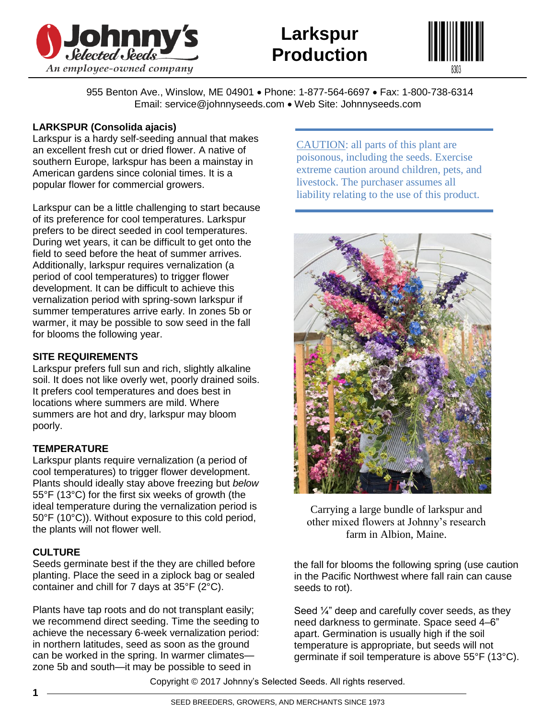



955 Benton Ave., Winslow, ME 04901 • Phone: 1-877-564-6697 • Fax: 1-800-738-6314 Email: service@johnnyseeds.com • Web Site: Johnnyseeds.com

# **LARKSPUR (Consolida ajacis)**

Larkspur is a hardy self-seeding annual that makes an excellent fresh cut or dried flower. A native of southern Europe, larkspur has been a mainstay in American gardens since colonial times. It is a popular flower for commercial growers.

Larkspur can be a little challenging to start because of its preference for cool temperatures. Larkspur prefers to be direct seeded in cool temperatures. During wet years, it can be difficult to get onto the field to seed before the heat of summer arrives. Additionally, larkspur requires vernalization (a period of cool temperatures) to trigger flower development. It can be difficult to achieve this vernalization period with spring-sown larkspur if summer temperatures arrive early. In zones 5b or warmer, it may be possible to sow seed in the fall for blooms the following year.

# **SITE REQUIREMENTS**

Larkspur prefers full sun and rich, slightly alkaline soil. It does not like overly wet, poorly drained soils. It prefers cool temperatures and does best in locations where summers are mild. Where summers are hot and dry, larkspur may bloom poorly.

## **TEMPERATURE**

Larkspur plants require vernalization (a period of cool temperatures) to trigger flower development. Plants should ideally stay above freezing but *below* 55°F (13°C) for the first six weeks of growth (the ideal temperature during the vernalization period is 50°F (10°C)). Without exposure to this cold period, the plants will not flower well.

## **CULTURE**

Seeds germinate best if the they are chilled before planting. Place the seed in a ziplock bag or sealed container and chill for 7 days at 35°F (2°C).

Plants have tap roots and do not transplant easily; we recommend direct seeding. Time the seeding to achieve the necessary 6-week vernalization period: in northern latitudes, seed as soon as the ground can be worked in the spring. In warmer climates zone 5b and south—it may be possible to seed in

CAUTION: all parts of this plant are poisonous, including the seeds. Exercise extreme caution around children, pets, and livestock. The purchaser assumes all liability relating to the use of this product.



Carrying a large bundle of larkspur and other mixed flowers at Johnny's research farm in Albion, Maine.

the fall for blooms the following spring (use caution in the Pacific Northwest where fall rain can cause seeds to rot).

Seed  $\frac{1}{4}$ " deep and carefully cover seeds, as they need darkness to germinate. Space seed 4–6" apart. Germination is usually high if the soil temperature is appropriate, but seeds will not germinate if soil temperature is above 55°F (13°C).

Copyright © 2017 Johnny's Selected Seeds. All rights reserved.